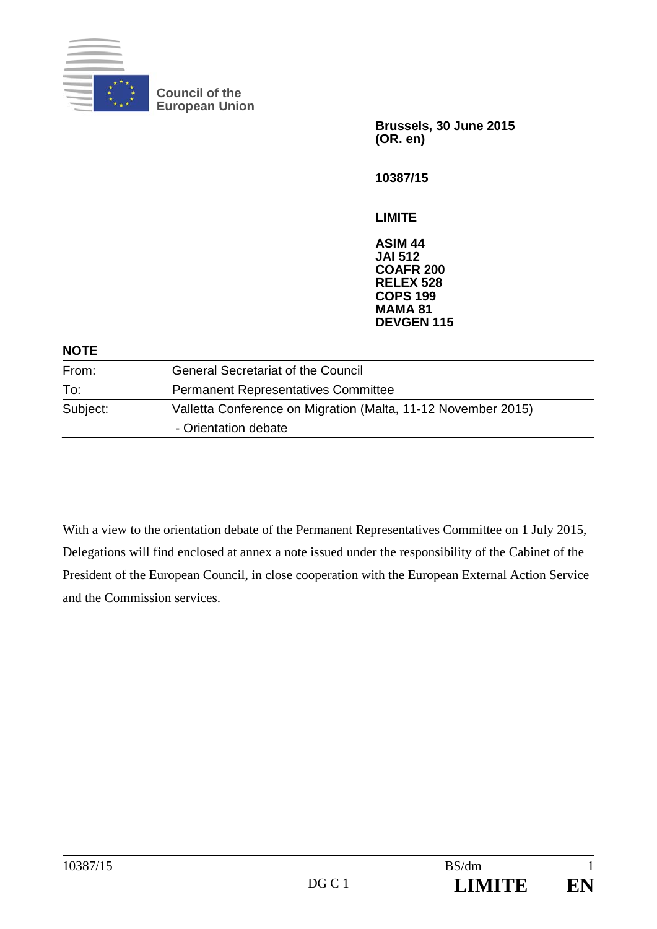

**Council of the European Union** 

> **Brussels, 30 June 2015 (OR. en)**

**10387/15** 

**LIMITE** 

**ASIM 44 JAI 512 COAFR 200 RELEX 528 COPS 199 MAMA 81 DEVGEN 115**

#### **NOTE**

| From:    | <b>General Secretariat of the Council</b>                     |
|----------|---------------------------------------------------------------|
| To:      | <b>Permanent Representatives Committee</b>                    |
| Subject: | Valletta Conference on Migration (Malta, 11-12 November 2015) |
|          | - Orientation debate                                          |

With a view to the orientation debate of the Permanent Representatives Committee on 1 July 2015, Delegations will find enclosed at annex a note issued under the responsibility of the Cabinet of the President of the European Council, in close cooperation with the European External Action Service and the Commission services.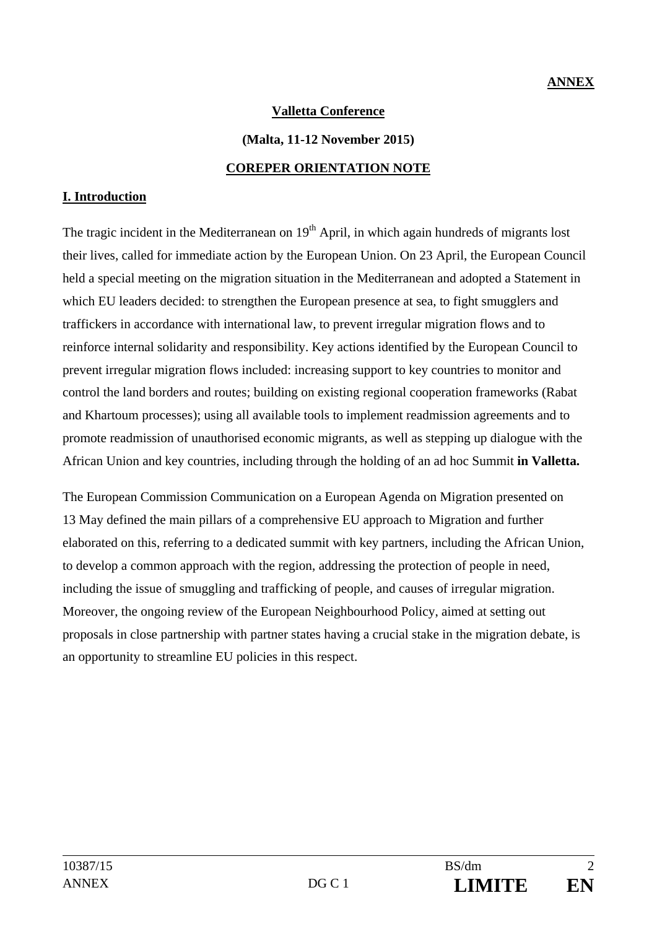## **Valletta Conference**

#### **(Malta, 11-12 November 2015)**

#### **COREPER ORIENTATION NOTE**

### **I. Introduction**

The tragic incident in the Mediterranean on  $19<sup>th</sup>$  April, in which again hundreds of migrants lost their lives, called for immediate action by the European Union. On 23 April, the European Council held a special meeting on the migration situation in the Mediterranean and adopted a Statement in which EU leaders decided: to strengthen the European presence at sea, to fight smugglers and traffickers in accordance with international law, to prevent irregular migration flows and to reinforce internal solidarity and responsibility. Key actions identified by the European Council to prevent irregular migration flows included: increasing support to key countries to monitor and control the land borders and routes; building on existing regional cooperation frameworks (Rabat and Khartoum processes); using all available tools to implement readmission agreements and to promote readmission of unauthorised economic migrants, as well as stepping up dialogue with the African Union and key countries, including through the holding of an ad hoc Summit **in Valletta.** 

The European Commission Communication on a European Agenda on Migration presented on 13 May defined the main pillars of a comprehensive EU approach to Migration and further elaborated on this, referring to a dedicated summit with key partners, including the African Union, to develop a common approach with the region, addressing the protection of people in need, including the issue of smuggling and trafficking of people, and causes of irregular migration. Moreover, the ongoing review of the European Neighbourhood Policy, aimed at setting out proposals in close partnership with partner states having a crucial stake in the migration debate, is an opportunity to streamline EU policies in this respect.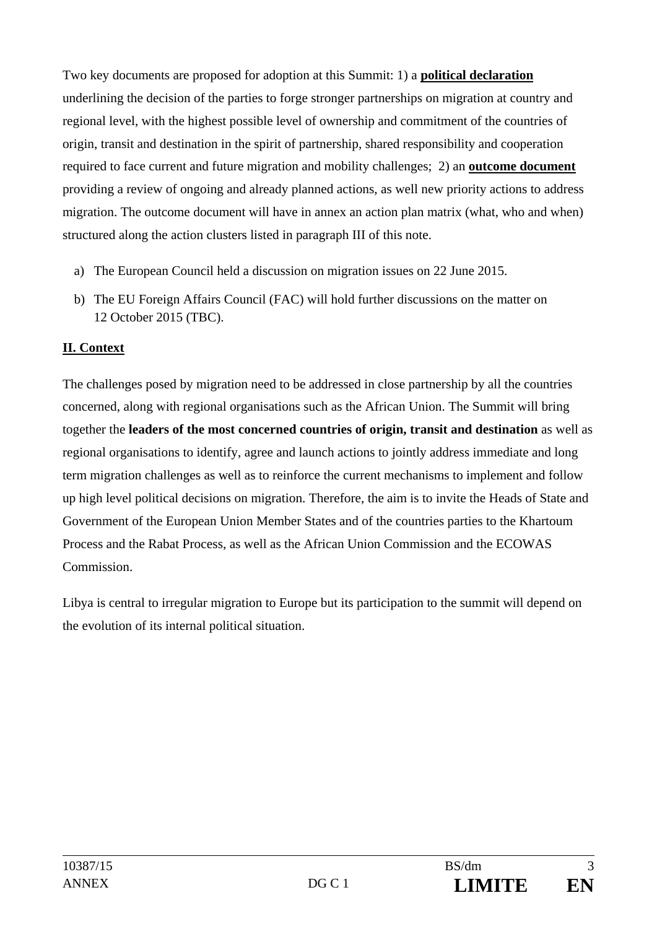Two key documents are proposed for adoption at this Summit: 1) a **political declaration** underlining the decision of the parties to forge stronger partnerships on migration at country and regional level, with the highest possible level of ownership and commitment of the countries of origin, transit and destination in the spirit of partnership, shared responsibility and cooperation required to face current and future migration and mobility challenges; 2) an **outcome document** providing a review of ongoing and already planned actions, as well new priority actions to address migration. The outcome document will have in annex an action plan matrix (what, who and when) structured along the action clusters listed in paragraph III of this note.

- a) The European Council held a discussion on migration issues on 22 June 2015.
- b) The EU Foreign Affairs Council (FAC) will hold further discussions on the matter on 12 October 2015 (TBC).

# **II. Context**

The challenges posed by migration need to be addressed in close partnership by all the countries concerned, along with regional organisations such as the African Union. The Summit will bring together the **leaders of the most concerned countries of origin, transit and destination** as well as regional organisations to identify, agree and launch actions to jointly address immediate and long term migration challenges as well as to reinforce the current mechanisms to implement and follow up high level political decisions on migration. Therefore, the aim is to invite the Heads of State and Government of the European Union Member States and of the countries parties to the Khartoum Process and the Rabat Process, as well as the African Union Commission and the ECOWAS Commission.

Libya is central to irregular migration to Europe but its participation to the summit will depend on the evolution of its internal political situation.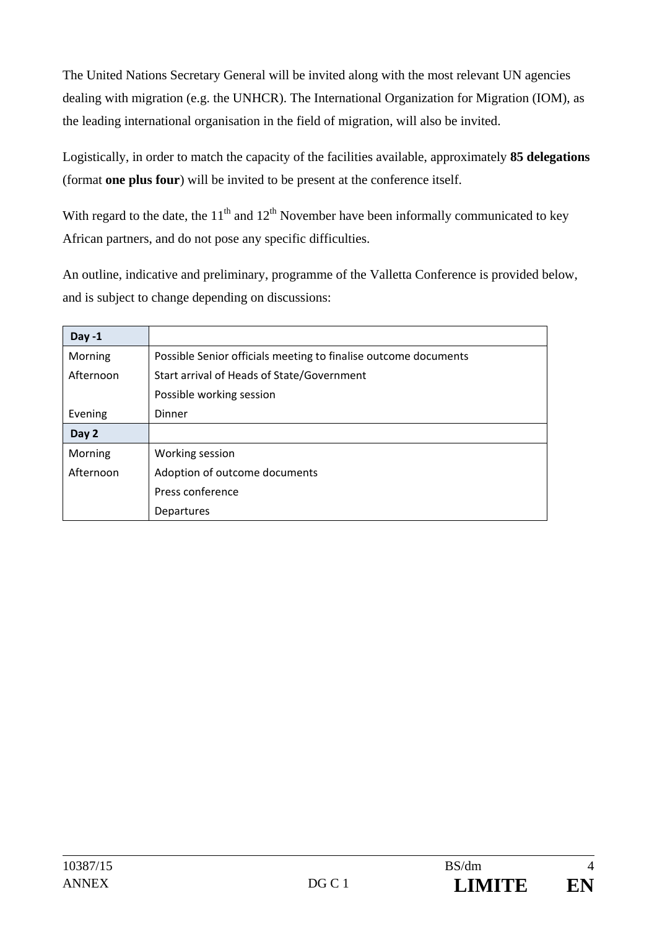The United Nations Secretary General will be invited along with the most relevant UN agencies dealing with migration (e.g. the UNHCR). The International Organization for Migration (IOM), as the leading international organisation in the field of migration, will also be invited.

Logistically, in order to match the capacity of the facilities available, approximately **85 delegations** (format **one plus four**) will be invited to be present at the conference itself.

With regard to the date, the  $11<sup>th</sup>$  and  $12<sup>th</sup>$  November have been informally communicated to key African partners, and do not pose any specific difficulties.

An outline, indicative and preliminary, programme of the Valletta Conference is provided below, and is subject to change depending on discussions:

| Day -1    |                                                                 |
|-----------|-----------------------------------------------------------------|
| Morning   | Possible Senior officials meeting to finalise outcome documents |
| Afternoon | Start arrival of Heads of State/Government                      |
|           | Possible working session                                        |
| Evening   | Dinner                                                          |
| Day 2     |                                                                 |
| Morning   | Working session                                                 |
| Afternoon | Adoption of outcome documents                                   |
|           | Press conference                                                |
|           | Departures                                                      |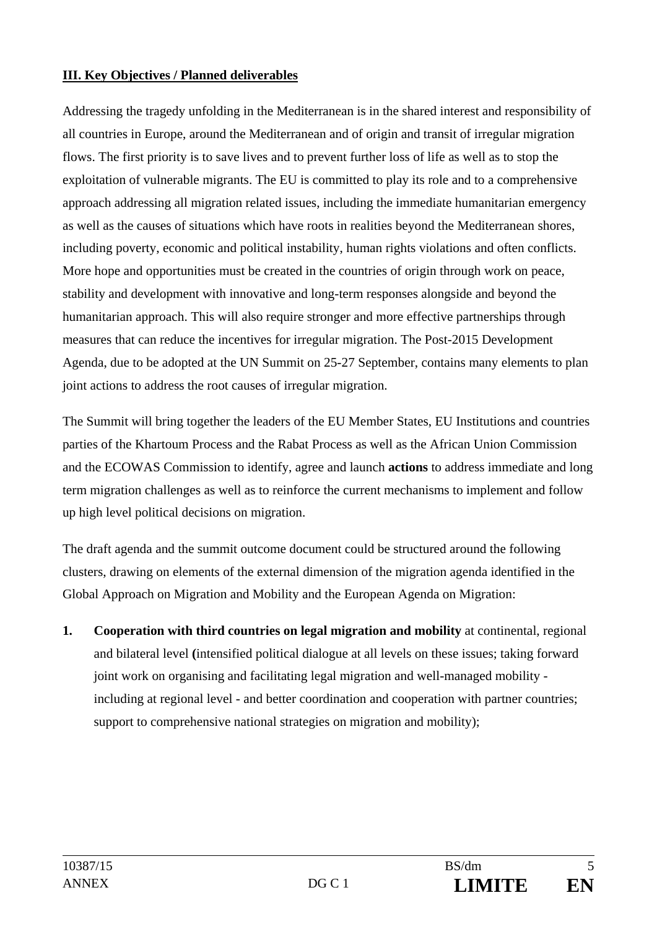## **III. Key Objectives / Planned deliverables**

Addressing the tragedy unfolding in the Mediterranean is in the shared interest and responsibility of all countries in Europe, around the Mediterranean and of origin and transit of irregular migration flows. The first priority is to save lives and to prevent further loss of life as well as to stop the exploitation of vulnerable migrants. The EU is committed to play its role and to a comprehensive approach addressing all migration related issues, including the immediate humanitarian emergency as well as the causes of situations which have roots in realities beyond the Mediterranean shores, including poverty, economic and political instability, human rights violations and often conflicts. More hope and opportunities must be created in the countries of origin through work on peace, stability and development with innovative and long-term responses alongside and beyond the humanitarian approach. This will also require stronger and more effective partnerships through measures that can reduce the incentives for irregular migration. The Post-2015 Development Agenda, due to be adopted at the UN Summit on 25-27 September, contains many elements to plan joint actions to address the root causes of irregular migration.

The Summit will bring together the leaders of the EU Member States, EU Institutions and countries parties of the Khartoum Process and the Rabat Process as well as the African Union Commission and the ECOWAS Commission to identify, agree and launch **actions** to address immediate and long term migration challenges as well as to reinforce the current mechanisms to implement and follow up high level political decisions on migration.

The draft agenda and the summit outcome document could be structured around the following clusters, drawing on elements of the external dimension of the migration agenda identified in the Global Approach on Migration and Mobility and the European Agenda on Migration:

**1. Cooperation with third countries on legal migration and mobility** at continental, regional and bilateral level **(**intensified political dialogue at all levels on these issues; taking forward joint work on organising and facilitating legal migration and well-managed mobility including at regional level - and better coordination and cooperation with partner countries; support to comprehensive national strategies on migration and mobility);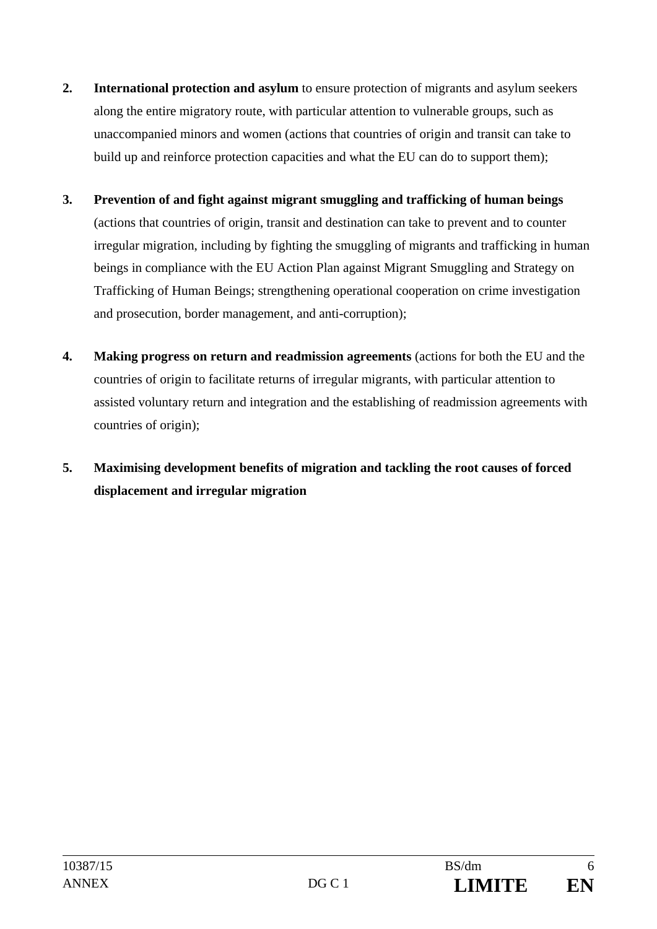- **2. International protection and asylum** to ensure protection of migrants and asylum seekers along the entire migratory route, with particular attention to vulnerable groups, such as unaccompanied minors and women (actions that countries of origin and transit can take to build up and reinforce protection capacities and what the EU can do to support them);
- **3. Prevention of and fight against migrant smuggling and trafficking of human beings**  (actions that countries of origin, transit and destination can take to prevent and to counter irregular migration, including by fighting the smuggling of migrants and trafficking in human beings in compliance with the EU Action Plan against Migrant Smuggling and Strategy on Trafficking of Human Beings; strengthening operational cooperation on crime investigation and prosecution, border management, and anti-corruption);
- **4. Making progress on return and readmission agreements** (actions for both the EU and the countries of origin to facilitate returns of irregular migrants, with particular attention to assisted voluntary return and integration and the establishing of readmission agreements with countries of origin);
- **5. Maximising development benefits of migration and tackling the root causes of forced displacement and irregular migration**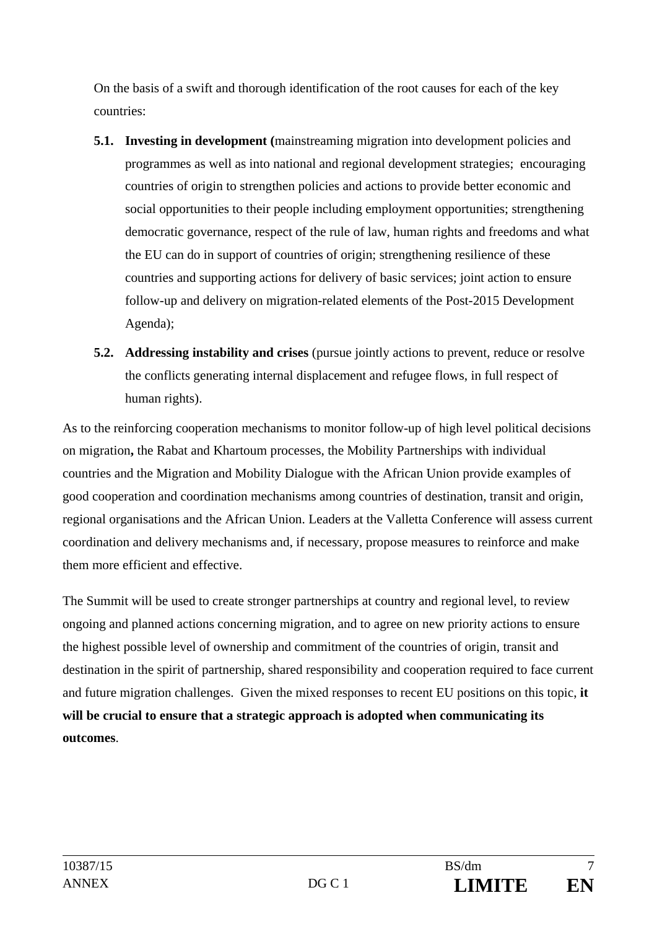On the basis of a swift and thorough identification of the root causes for each of the key countries:

- **5.1. Investing in development (**mainstreaming migration into development policies and programmes as well as into national and regional development strategies; encouraging countries of origin to strengthen policies and actions to provide better economic and social opportunities to their people including employment opportunities; strengthening democratic governance, respect of the rule of law, human rights and freedoms and what the EU can do in support of countries of origin; strengthening resilience of these countries and supporting actions for delivery of basic services; joint action to ensure follow-up and delivery on migration-related elements of the Post-2015 Development Agenda);
- **5.2. Addressing instability and crises** (pursue jointly actions to prevent, reduce or resolve the conflicts generating internal displacement and refugee flows, in full respect of human rights).

As to the reinforcing cooperation mechanisms to monitor follow-up of high level political decisions on migration**,** the Rabat and Khartoum processes, the Mobility Partnerships with individual countries and the Migration and Mobility Dialogue with the African Union provide examples of good cooperation and coordination mechanisms among countries of destination, transit and origin, regional organisations and the African Union. Leaders at the Valletta Conference will assess current coordination and delivery mechanisms and, if necessary, propose measures to reinforce and make them more efficient and effective.

The Summit will be used to create stronger partnerships at country and regional level, to review ongoing and planned actions concerning migration, and to agree on new priority actions to ensure the highest possible level of ownership and commitment of the countries of origin, transit and destination in the spirit of partnership, shared responsibility and cooperation required to face current and future migration challenges. Given the mixed responses to recent EU positions on this topic, **it will be crucial to ensure that a strategic approach is adopted when communicating its outcomes**.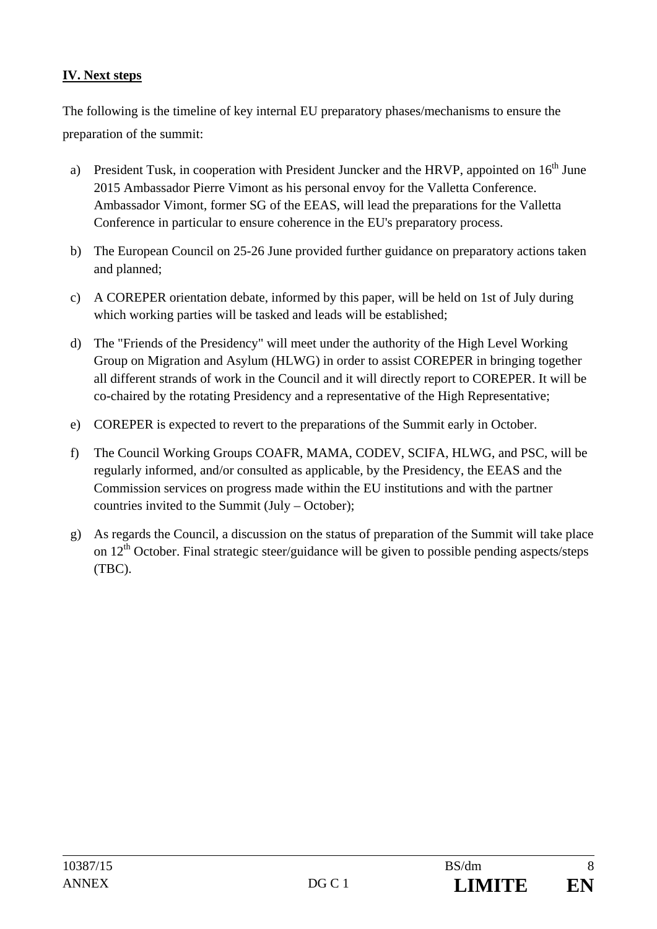## **IV. Next steps**

The following is the timeline of key internal EU preparatory phases/mechanisms to ensure the preparation of the summit:

- a) President Tusk, in cooperation with President Juncker and the HRVP, appointed on  $16<sup>th</sup>$  June 2015 Ambassador Pierre Vimont as his personal envoy for the Valletta Conference. Ambassador Vimont, former SG of the EEAS, will lead the preparations for the Valletta Conference in particular to ensure coherence in the EU's preparatory process.
- b) The European Council on 25-26 June provided further guidance on preparatory actions taken and planned;
- c) A COREPER orientation debate, informed by this paper, will be held on 1st of July during which working parties will be tasked and leads will be established;
- d) The "Friends of the Presidency" will meet under the authority of the High Level Working Group on Migration and Asylum (HLWG) in order to assist COREPER in bringing together all different strands of work in the Council and it will directly report to COREPER. It will be co-chaired by the rotating Presidency and a representative of the High Representative;
- e) COREPER is expected to revert to the preparations of the Summit early in October.
- f) The Council Working Groups COAFR, MAMA, CODEV, SCIFA, HLWG, and PSC, will be regularly informed, and/or consulted as applicable, by the Presidency, the EEAS and the Commission services on progress made within the EU institutions and with the partner countries invited to the Summit (July – October);
- g) As regards the Council, a discussion on the status of preparation of the Summit will take place on  $12<sup>th</sup>$  October. Final strategic steer/guidance will be given to possible pending aspects/steps (TBC).